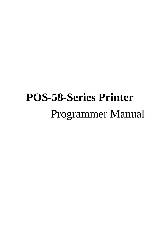# **POS-58-Series Printer** Programmer Manual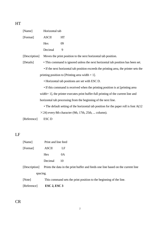| × |  |
|---|--|
|   |  |

| [Name]        | Horizontal tab   |                                                                                       |
|---------------|------------------|---------------------------------------------------------------------------------------|
| [Format]      | <b>ASCII</b>     | HT                                                                                    |
|               | Hex              | 09                                                                                    |
|               | Decimal          | 9                                                                                     |
| [Description] |                  | Moves the print position to the next horizontal tab position.                         |
| [Details]     |                  | • This command is ignored unless the next horizontal tab position has been set.       |
|               |                  | • If the next horizontal tab position exceeds the printing area, the printer sets the |
|               |                  | printing position to [Printing area width $+1$ ].                                     |
|               |                  | • Horizontal tab positions are set with ESC D.                                        |
|               |                  | • If this command is received when the printing position is at [printing area]        |
|               |                  | width + 1], the printer executes print buffer-full printing of the current line and   |
|               |                  | horizontal tab processing from the beginning of the next line.                        |
|               |                  | • The default setting of the horizontal tab position for the paper roll is font A(12) |
|               |                  | $\times$ 24) every 8th character (9th, 17th, 25th,  column).                          |
| [Reference]   | ESC <sub>D</sub> |                                                                                       |

LF

| [Reference]   | $\text{ESC } 2$ , $\text{ESC } 3$ |                                                                                  |
|---------------|-----------------------------------|----------------------------------------------------------------------------------|
| [Note]        |                                   | This command sets the print position to the beginning of the line.               |
| spacing.      |                                   |                                                                                  |
| [Description] |                                   | Prints the data in the print buffer and feeds one line based on the current line |
|               | Decimal                           | 10                                                                               |
|               | Hex                               | 0A                                                                               |
| [Format]      | <b>ASCII</b>                      | LF                                                                               |
| [Name]        | Print and line feed               |                                                                                  |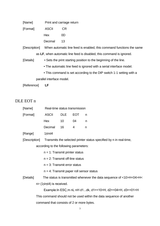| [Name] | Print and carriage return |
|--------|---------------------------|
|--------|---------------------------|

[Format] ASCII CR Hex 0D Decimal 13

[Description] When automatic line feed is enabled, this command functions the same as **LF**, when automatic line feed is disabled, this command is ignored.

[Details] • Sets the print starting position to the beginning of the line.

• The automatic line feed is ignored with a serial interface model.

• This command is set according to the DIP switch 1-1 setting with a parallel interface model.

[Reference] **LF**

## DLE EOT n

| [Name]        |              | Real-time status transmission          |            |                                             |                                                                     |  |  |  |
|---------------|--------------|----------------------------------------|------------|---------------------------------------------|---------------------------------------------------------------------|--|--|--|
| [Format]      | <b>ASCII</b> | <b>DLE</b>                             | <b>EOT</b> | n                                           |                                                                     |  |  |  |
|               | Hex          | 10                                     | 04         | n                                           |                                                                     |  |  |  |
|               | Decimal      | 16                                     | 4          | n                                           |                                                                     |  |  |  |
| [Range]       | 1≤n≤4        |                                        |            |                                             |                                                                     |  |  |  |
| [Description] |              |                                        |            |                                             | Transmits the selected printer status specified by n in real-time,  |  |  |  |
|               |              | according to the following parameters: |            |                                             |                                                                     |  |  |  |
|               |              | $n = 1$ : Transmit printer status      |            |                                             |                                                                     |  |  |  |
|               |              | $n = 2$ : Transmit off-line status     |            |                                             |                                                                     |  |  |  |
|               |              | $n = 3$ : Transmit error status        |            |                                             |                                                                     |  |  |  |
|               |              |                                        |            | $n = 4$ : Transmit paper roll sensor status |                                                                     |  |  |  |
| [Details]     |              |                                        |            |                                             | The status is transmitted whenever the data sequence of <10>H<04>H< |  |  |  |
|               |              | $n$ (1 sn $\leq$ 4) is received.       |            |                                             |                                                                     |  |  |  |
|               |              |                                        |            |                                             | Example: In ESC m nL nH d1dk, d1=<10>H, d2=<04>H, d3=<01>H          |  |  |  |
|               |              |                                        |            |                                             | This command should not be used within the data sequence of another |  |  |  |

command that consists of 2 or more bytes.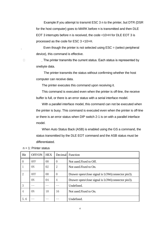Example:If you attempt to transmit ESC 3 n to the printer, but DTR (DSR for the host computer) goes to MARK before n is transmitted and then DLE EOT 3 interrupts before n is received, the code <10>H for DLE EOT 3 is processed as the code for ESC 3 <10>H.

Even though the printer is not selected using  $\text{ESC} =$  (select peripheral device), this command is effective.

□ The printer transmits the current status. Each status is represented by onebyte data.

> The printer transmits the status without confirming whether the host computer can receive data.

The printer executes this command upon receiving it.

This command is executed even when the printer is off-line, the receive buffer is full, or there is an error status with a serial interface model.

With a parallel interface model, this command can not be executed when the printer is busy. This command is executed even when the printer is off-line or there is an error status when DIP switch 2-1 is on with a parallel interface model.

When Auto Status Back (ASB) is enabled using the GS a command, the status transmitted by the DLE EOT command and the ASB status must be differentiated.

| Bit            | OFF/ON | <b>HEX</b>     |          | Decimal Function                                 |
|----------------|--------|----------------|----------|--------------------------------------------------|
| $\theta$       | OFF    | 0 <sub>0</sub> | $\theta$ | Not used. Fixed to Off.                          |
|                | ON     | 02             | 2        | Not used. Fixed to On.                           |
| $\overline{2}$ | 0FF    | 0 <sub>0</sub> | $\theta$ | Drawer open/close signal is LOW(connector pin3). |
|                | ON     | 04             | 4        | Drawer open/close signal is LOW(connector pin3). |
| 3              |        |                |          | Undefined.                                       |
| 4              | 0N     | 10             | 16       | Not used. Fixed to On.                           |
| 5.6            |        |                |          | Undefined.                                       |

 $n = 1$ : Printer status

4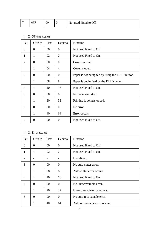| - | UFI | $00\,$ | Not used.Fixed to Off.<br>л. |
|---|-----|--------|------------------------------|
|   |     |        |                              |

#### n = 2: Off-line status

| Bit            | Off/On       | Hex    | Decimal        | Function                                         |
|----------------|--------------|--------|----------------|--------------------------------------------------|
| $\Omega$       | $\theta$     | $00\,$ | $\Omega$       | Not used Fixed to Off.                           |
| 1              | 1            | 02     | $\overline{2}$ | Not used Fixed to On.                            |
| $\overline{2}$ | $\Omega$     | 00     | $\theta$       | Cover is closed.                                 |
|                | 1            | 04     | 4              | Cover is open.                                   |
| 3              | $\Omega$     | 00     | $\theta$       | Paper is not being fed by using the FEED button. |
|                | 1            | 08     | 8              | Paper is begin feed by the FEED button.          |
| 4              | 1            | 10     | 16             | Not used Fixed to On.                            |
| 5              | $\theta$     | $00\,$ | $\Omega$       | No paper-end stop.                               |
|                | 1            | 20     | 32             | Printing is being stopped.                       |
| 6              | $\theta$     | $00\,$ | $\theta$       | No error.                                        |
|                | $\mathbf{1}$ | 40     | 64             | Error occurs.                                    |
| 7              | 0            | $00\,$ | $\overline{0}$ | Not used Fixed to Off.                           |

#### $n = 3$ : Error status

| Bit            | Off/On       | Hex    | Decimal  | Function                       |  |
|----------------|--------------|--------|----------|--------------------------------|--|
| $\Omega$       | $\theta$     | $00\,$ | $\theta$ | Not used Fixed to Off.         |  |
| 1              | 1            | 02     | 2        | Not used Fixed to On.          |  |
| 2              |              |        |          | Undefined.                     |  |
| 3              | $\Omega$     | $00\,$ | $\Omega$ | No auto-cutter error.          |  |
|                | 1            | 08     | 8        | Auto-cutter error occurs.      |  |
| $\overline{4}$ | 1            | 10     | 16       | Not used Fixed to On.          |  |
| 5              | $\Omega$     | $00\,$ | $\Omega$ | No unrecoverable error.        |  |
|                | $\mathbf{1}$ | 20     | 32       | Unrecoverable error occurs.    |  |
| 6              | $\Omega$     | $00\,$ | $\Omega$ | No auto-recoverable error.     |  |
|                | 1            | 40     | 64       | Auto recoverable error occurs. |  |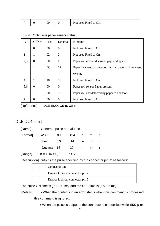|  |  |  |  | Not used Fixed to Off. |
|--|--|--|--|------------------------|
|--|--|--|--|------------------------|

| Bit            | Off/On         | Hex            | Decimal        | Function                                              |
|----------------|----------------|----------------|----------------|-------------------------------------------------------|
| $\theta$       | $\overline{0}$ | 00             | $\theta$       | Not used Fixed to Off.                                |
| 1              | 1              | 02             | $\overline{2}$ | Not used Fixed to On.                                 |
| 2,3            | $\Omega$       | 00             | $\theta$       | Paper roll near-end sensor, paper adequate.           |
|                | 1              | 0 <sup>C</sup> | 12             | Paper near-end is detected by the paper roll near-end |
|                |                |                |                | sensor.                                               |
| $\overline{4}$ |                | 10             | 16             | Not used Fixed to On.                                 |
| 5,6            | $\Omega$       | 00             | $\Omega$       | Paper roll sensor Paper present.                      |
|                |                | 60             | 96             | Paper roll end detected by paper roll sensor.         |
| 7              | 0              | 00             | $\Omega$       | Not used Fixed to Off.                                |

 $n = 4$ : Continuous paper sensor status

[Reference] **DLE ENQ, GS a, GS r**

#### DLE DC4 n m t

|                            | [Name] Generate pulse at real-time |                 |  |     |   |  |  |  |
|----------------------------|------------------------------------|-----------------|--|-----|---|--|--|--|
| [Format] ASCII DLE DC4 n m |                                    |                 |  |     | t |  |  |  |
|                            |                                    | Hex 10 14 n m t |  |     |   |  |  |  |
|                            |                                    | Decimal 16 20 n |  | m t |   |  |  |  |
|                            |                                    |                 |  |     |   |  |  |  |

 $[Range]$  n = 1, m = 0, 1, 1 ≤ t ≤ 8

[Description] Outputs the pulse specified by t to connector pin m as follows:

|  | Connector pin                    |
|--|----------------------------------|
|  | Drawer kick-out connector pin 2. |
|  | Drawer kick-out connector pin 5. |

The pulse ON time is [ $t \times 100$  ms] and the OFF time is [ $t \times 100$ ms].

[Details] • When the printer is in an error status when this command is processed,

this command is ignored.

• When the pulse is output to the connector pin specified while **ESC p** or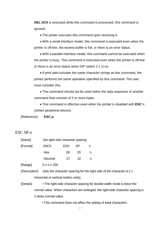**DEL DC4** is executed while this command is processed, this command is ignored.

• The printer executes this command upon receiving it.

• With a serial interface model, this command is executed even when the printer is off-line, the receive buffer is full, or there is an error status.

• With a parallel interface model, this command cannot be executed when the printer is busy. This command is executed even when the printer is off-line or there is an error status when DIP switch 2-1 is on.

• If print data includes the same character strings as this command, the printer performs the same operation specified by this command. The user must consider this.

• This command should not be used within the data sequence of another command that consists of 2 or more bytes.

• This command is effective even when the printer is disabled with **ESC =**  (Select peripheral device).

[Reference] **ESC p**

## ESC SP n

| [Name]   |              | Set right-side character spacing |           |   |  |  |  |
|----------|--------------|----------------------------------|-----------|---|--|--|--|
| [Format] | <b>ASCII</b> | <b>ESC</b>                       | <b>SP</b> | n |  |  |  |
|          | Hex          | 1B                               | 20        | n |  |  |  |
|          | Decimal      | 27                               | 32        |   |  |  |  |
|          |              |                                  |           |   |  |  |  |

 $[Range]$   $0 \le n \le 255$ 

[Description] Sets the character spacing for the right side of the character to [ n horizontal or vertical motion units].

[Details] • The right-side character spacing for double-width mode is twice the normal value. When characters are enlarged, the right-side character spacing is n times normal value.

• This command does not affect the setting of kanji characters.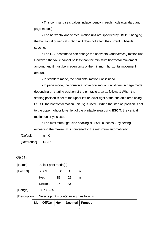• This command sets values independently in each mode (standard and page modes).

• The horizontal and vertical motion unit are specified by **GS P**. Changing the horizontal or vertical motion unit does not affect the current right-side spacing.

• The **GS P** command can change the horizontal (and vertical) motion unit. However, the value cannot be less than the minimum horizontal movement amount, and it must be in even units of the minimum horizontal movement amount.

• In standard mode, the horizontal motion unit is used.

• In page mode, the horizontal or vertical motion unit differs in page mode, depending on starting position of the printable area as follows:1 When the starting position is set to the upper left or lower right of the printable area using **ESC T**, the horizontal motion unit (x) is used.2 When the starting position is set to the upper right or lower left of the printable area using **ESC T**, the vertical motion unit ( y) is used.

• The maximum right-side spacing is 255/180 inches. Any setting exceeding the maximum is converted to the maximum automatically.

 $[Default]$   $n = 0$ 

[Reference] **GS P**

## ESC ! n

| [Name]        | Select print mode(s)             |            |    |   |  |
|---------------|----------------------------------|------------|----|---|--|
| [Format]      | <b>ASCII</b>                     | <b>ESC</b> |    | n |  |
|               | Hex                              | 1Β         | 21 | n |  |
|               | Decimal                          | 27         | 33 | n |  |
| [Range]       | 0≤n≤255                          |            |    |   |  |
| [Description] | Selects print mode(s) using n as |            |    |   |  |

|  |  |  |  |  | Bit   Off/On   Hex   Decimal   Function |
|--|--|--|--|--|-----------------------------------------|
|--|--|--|--|--|-----------------------------------------|

follows: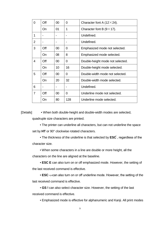| 0              | Off       | 00     | 0   | Character font A $(12\times24)$ .  |
|----------------|-----------|--------|-----|------------------------------------|
|                | <b>On</b> | 01     | 1   | Character font B $(9 \times 17)$ . |
| 1              |           |        |     | Undefined.                         |
| $\overline{2}$ |           |        |     | Undefined.                         |
| 3              | Off       | 00     | 0   | Emphasized mode not selected.      |
|                | On        | 08     | 8   | Emphasized mode selected.          |
| 4              | Off       | 00     | 0   | Double-height mode not selected.   |
|                | <b>On</b> | 10     | 16  | Double-height mode selected.       |
| 5              | Off       | $00\,$ | 0   | Double-width mode not selected.    |
|                | <b>On</b> | 20     | 32  | Double-width mode selected.        |
| 6              |           |        |     | Undefined.                         |
| 7              | Off       | 00     | 0   | Underline mode not selected.       |
|                | On        | 80     | 128 | Underline mode selected.           |

[Details] • When both double-height and double-width modes are selected,

quadruple size characters are printed.

• The printer can underline all characters, but can not underline the space set by **HT** or 90° clockwise rotated characters.

• The thickness of the underline is that selected by **ESC** , regardless of the character size.

• When some characters in a line are double or more height, all the

characters on the line are aligned at the baseline.

• **ESC E** can also turn on or off emphasized mode. However, the setting of the last received command is effective.

• **ESC —**can also turn on or off underline mode. However, the setting of the last received command is effective.

• **GS !** can also select character size. However, the setting of the last received command is effective.

• Emphasized mode is effective for alphanumeric and Kanji. All print modes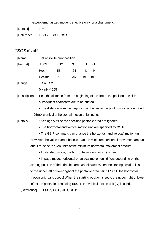except emphasized mode is effective only for alphanumeric.

 $[Default]$   $n = 0$ 

[Reference] **ESC -**, **ESC E**, **GS !**

# ESC \$ nL nH

| [Name]        | Set absolute print position                                                                |                                                                                     |    |    |                                                                           |  |  |  |  |
|---------------|--------------------------------------------------------------------------------------------|-------------------------------------------------------------------------------------|----|----|---------------------------------------------------------------------------|--|--|--|--|
| [Format]      | <b>ASCII</b>                                                                               | <b>ESC</b>                                                                          | \$ | nL | nH                                                                        |  |  |  |  |
|               | Hex                                                                                        | 1B                                                                                  | 24 | nL | nH                                                                        |  |  |  |  |
|               | Decimal                                                                                    | 27                                                                                  | 36 | nL | nH                                                                        |  |  |  |  |
| [Range]       | $0 \leq nL \leq 255$                                                                       |                                                                                     |    |    |                                                                           |  |  |  |  |
|               | $0 \leq nH \leq 255$                                                                       |                                                                                     |    |    |                                                                           |  |  |  |  |
| [Description] |                                                                                            |                                                                                     |    |    | Sets the distance from the beginning of the line to the position at which |  |  |  |  |
|               | subsequent characters are to be printed.                                                   |                                                                                     |    |    |                                                                           |  |  |  |  |
|               |                                                                                            | • The distance from the beginning of the line to the print position is $[(nL + nH)$ |    |    |                                                                           |  |  |  |  |
|               | $\times$ 256) $\times$ (vertical or horizontal motion unit)] inches.                       |                                                                                     |    |    |                                                                           |  |  |  |  |
| [Details]     | • Settings outside the specified printable area are ignored.                               |                                                                                     |    |    |                                                                           |  |  |  |  |
|               | • The horizontal and vertical motion unit are specified by GS P.                           |                                                                                     |    |    |                                                                           |  |  |  |  |
|               | • The GS P command can change the horizontal (and vertical) motion unit,                   |                                                                                     |    |    |                                                                           |  |  |  |  |
|               | However, the value cannot be less than the minimum horizontal movement amount,             |                                                                                     |    |    |                                                                           |  |  |  |  |
|               | and it must be in even units of the minimum horizontal movement amount.                    |                                                                                     |    |    |                                                                           |  |  |  |  |
|               | • In standard mode, the horizontal motion unit (x) is used.                                |                                                                                     |    |    |                                                                           |  |  |  |  |
|               | • In page mode, horizontal or vertical motion unit differs depending on the                |                                                                                     |    |    |                                                                           |  |  |  |  |
|               | starting position of the printable area as follows:1 When the starting position is set     |                                                                                     |    |    |                                                                           |  |  |  |  |
|               | to the upper left or lower right of the printable area using <b>ESC T</b> , the horizontal |                                                                                     |    |    |                                                                           |  |  |  |  |
|               | motion unit (x) is used.2 When the starting position is set to the upper right or lower    |                                                                                     |    |    |                                                                           |  |  |  |  |

left of the printable area using **ESC T**, the vertical motion unit ( y) is used.

#### [Reference] **ESC \**, **GS \$**, **GS \**, **GS P**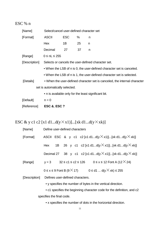# ESC % n

| [Name]                                                                | Select/cancel user-defined character set             |            |    |                                                                           |  |  |
|-----------------------------------------------------------------------|------------------------------------------------------|------------|----|---------------------------------------------------------------------------|--|--|
| [Format]                                                              | <b>ASCII</b>                                         | <b>ESC</b> | %  | n                                                                         |  |  |
|                                                                       | Hex                                                  | 1B         | 25 | n                                                                         |  |  |
|                                                                       | Decimal                                              | 27         | 37 | n                                                                         |  |  |
| [Range]                                                               | $0 \leq nL \leq 255$                                 |            |    |                                                                           |  |  |
| [Description]                                                         | Selects or cancels the user-defined character set.   |            |    |                                                                           |  |  |
| • When the LSB of n is 0, the user-defined character set is canceled. |                                                      |            |    |                                                                           |  |  |
|                                                                       |                                                      |            |    | • When the LSB of n is 1, the user-defined character set is selected.     |  |  |
| [Details]                                                             |                                                      |            |    | • When the user-defined character set is canceled, the internal character |  |  |
| set is automatically selected.                                        |                                                      |            |    |                                                                           |  |  |
|                                                                       | • n is available only for the least significant bit. |            |    |                                                                           |  |  |
| [Default]                                                             | $n = 0$                                              |            |    |                                                                           |  |  |
| [Reference]                                                           | <b>ESC &amp;, ESC ?</b>                              |            |    |                                                                           |  |  |

# ESC & y c1 c2 [x1 d1...d(y $\times$ x1)]...[xk d1...d(y $\times$ xk)]

| [Name]                                                                 | Define user-defined characters                                              |  |  |  |
|------------------------------------------------------------------------|-----------------------------------------------------------------------------|--|--|--|
| [Format]                                                               | ASCII ESC & y c1 c2 [x1 d1d(y $\times$ x1)][xk d1d(y $\times$ xk)]          |  |  |  |
|                                                                        | 1B 26 y c1 c2 [x1 d1d(y $\times$ x1)][xk d1d(y $\times$ xk)]<br>Hex         |  |  |  |
|                                                                        | Decimal 27 38 y c1 c2 [x1 d1d(y $\times$ x1)][xk d1d(y $\times$ xk)]        |  |  |  |
| [Range]                                                                | $y = 3$ $32 \le c1 \le c2 \le 126$ $0 \le x \le 12$ Font A (12 $\times$ 24) |  |  |  |
|                                                                        | $0 \le x \le 9$ Font B (9 $\times$ 17) $0 \le d1$ $d(y \times xk) \le 255$  |  |  |  |
| [Description]                                                          | Defines user-defined characters.                                            |  |  |  |
| • y specifies the number of bytes in the vertical direction.           |                                                                             |  |  |  |
| • c1 specifies the beginning character code for the definition, and c2 |                                                                             |  |  |  |
| specifies the final code.                                              |                                                                             |  |  |  |

• x specifies the number of dots in the horizontal direction.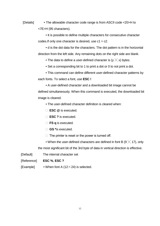[Details] • The allowable character code range is from ASCII code <20>H to <7E>H (95 characters).

> • It is possible to define multiple characters for consecutive character codes. If only one character is desired, use  $c1 = c2$ .

• d is the dot data for the characters. The dot pattern is in the horizontal direction from the left side. Any remaining dots on the right side are blank.

• The data to define a user-defined character is  $(y \times x)$  bytes.

• Set a corresponding bit to 1 to print a dot or 0 to not print a dot.

• This command can define different user-defined character patterns by

each fonts. To select a font, use **ESC !**

• A user-defined character and a downloaded bit image cannot be defined simultaneously. When this command is executed, the downloaded bit image is cleared.

• The user-defined character definition is cleared when:

- ① **ESC @** is executed.
- ② **ESC ?** is executed.
- ③ **FS q** is executed.
- ④ **GS \***is executed.
- $\Box$  The printer is reset or the power is turned off.

• When the user-defined characters are defined in font B (9  $\times$  17), only the most significant bit of the 3rd byte of data in vertical direction is effective.

[Default] The internal character set

[Reference] **ESC %**, **ESC ?**

[Example] • When font A (12 $\times$ 24) is selected.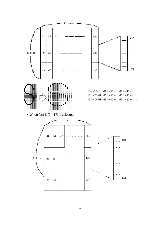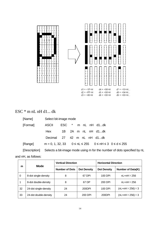

# ESC \* m nL nH d1... dk

| [Name]        |                            | Select bit-image mode |  |  |  |                    |                                                                          |  |
|---------------|----------------------------|-----------------------|--|--|--|--------------------|--------------------------------------------------------------------------|--|
| [Format]      | <b>ASCII</b>               |                       |  |  |  | ESC * m nL nH d1dk |                                                                          |  |
|               | Hex                        |                       |  |  |  | 1B 2A m nL nH d1dk |                                                                          |  |
|               | Decimal 27 42 m nL nH d1dk |                       |  |  |  |                    |                                                                          |  |
| [Range]       |                            |                       |  |  |  |                    | $m = 0, 1, 32, 33$ $0 \le nL \le 255$ $0 \le nH \le 3$ $0 \le d \le 255$ |  |
| [Description] |                            |                       |  |  |  |                    | Selects a bit-image mode using m for the number of dots specified by nL  |  |

and nH, as follows:

|    | Mode                  | <b>Vertical Direction</b> |                    | <b>Horizontal Direction</b> |                                 |  |
|----|-----------------------|---------------------------|--------------------|-----------------------------|---------------------------------|--|
| m  |                       | <b>Number of Dots</b>     | <b>Dot Density</b> | <b>Dot Density</b>          | Number of Data(K)               |  |
| 0  | 8-dot single-density  | 8                         | 67 DPI             | 100 DPI                     | $nL+nH \times 256$              |  |
|    | 8-dot double-density  | 8                         | 67 DP              | 200 DPI                     | $nL+nH \times 256$              |  |
| 32 | 24-dot single-density | 24                        | 200DPI             | 100 DPI                     | (nL+nH $\times$ 256) $\times$ 3 |  |
| 33 | 24-dot double-density | 24                        | 200 DPI            | 200DPI                      | (nL+nH $\times$ 256) $\times$ 3 |  |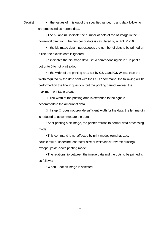[Details] • If the values of m is out of the specified range, nL and data following are processed as normal data.

> • The nL and nH indicate the number of dots of the bit image in the horizontal direction. The number of dots is calculated by  $nL+nH \times 256$ .

• If the bit-image data input exceeds the number of dots to be printed on a line, the excess data is ignored.

• d indicates the bit-image data. Set a corresponding bit to 1 to print a dot or to 0 to not print a dot.

• If the width of the printing area set by **GS L** and **GS W** less than the width required by the data sent with the **ESC \*** command, the following will be performed on the line in question (but the printing cannot exceed the maximum printable area):

 $\Box$  The width of the printing area is extended to the right to accommodate the amount of data.

 $\Box$  If step  $\Box$  does not provide sufficient width for the data, the left margin is reduced to accommodate the data.

• After printing a bit image, the printer returns to normal data processing mode.

• This command is not affected by print modes (emphasized,

double-strike, underline, character size or white/black reverse printing),

except upside-down printing mode.

• The relationship between the image data and the dots to be printed is as follows:

• When 8-dot bit image is selected: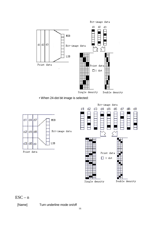

• When 24-dot bit image is selected:



## $\text{ESC} - n$

[Name] Turn underline mode on/off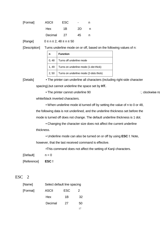| [Format] | <b>ASCII</b> | <b>ESC</b> | -  |  |
|----------|--------------|------------|----|--|
|          | <b>Hex</b>   | 1B         | 2D |  |
|          | Decimal      | - 27       | 45 |  |

 $[Range]$  0  $\leq$  n  $\leq$  2, 48  $\leq$  n  $\leq$  50

[Description] Turns underline mode on or off, based on the following values of n:

|       | <b>Function</b>                        |
|-------|----------------------------------------|
| 0,48  | Turns off underline mode               |
| 1, 49 | Turns on underline mode (1-dot thick)  |
| 2,50  | Turns on underline mode (2-dots thick) |

[Details] • The printer can underline all characters (including right-side character

spacing),but cannot underline the space set by **HT.**

• The printer cannot underline 90  $\Box$  clockwise ro

white/black inverted characters.

• When underline mode id turned off by setting the value of n to 0 or 48, the following data is not underlined, and the underline thickness set before the mode is turned off does not change. The default underline thickness is 1 dot.

• Changing the character size does not affect the current underline thickness.

• Underline mode can also be turned on or off by using **ESC !**. Note,

however, that the last received command is effective.

•This command does not affect the setting of Kanji characters.

 $[Default]$   $n = 0$ 

[Reference] **ESC !**

#### ESC 2

| [Name]   | Select default line spacing |     |    |
|----------|-----------------------------|-----|----|
| [Format] | <b>ASCII</b>                | ESC | 2  |
|          | Hex                         | 1B  | 32 |
|          | Decimal                     | 27  | 50 |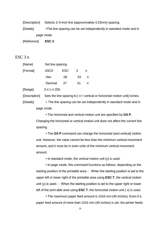[Description] Selects 1/ 6-inch line (approximately 4.23mm) spacing.

[Details] •The line spacing can be set independently in standard mode and in page mode.

[Reference] **ESC 3**

#### ESC 3 n

| [Name]   | Set line spacing |            |    |   |
|----------|------------------|------------|----|---|
| [Format] | <b>ASCII</b>     | <b>ESC</b> | 3  | n |
|          | Hex              | 1Β         | 33 | n |
|          | Decimal          | 27         | 51 |   |
|          |                  |            |    |   |

 $[Range]$   $0 \le n \le 255$ 

[Description] Sets the line spacing to  $\lceil n \times$  vertical or horizontal motion unit] inches.

[Details] • The line spacing can be set independently in standard mode and in page mode.

> • The horizontal and vertical motion unit are specified by **GS P**. Changing the horizontal or vertical motion unit does not affect the current line spacing.

> • The **GS P** command can change the horizontal (and vertical) motion unit. However, the value cannot be less than the minimum vertical movement amount, and it must be in even units of the minimum vertical movement amount.

• In standard mode, the vertical motion unit (y) is used.

• In page mode, this command functions as follows, depending on the starting position of the printable area: $\Box$  When the starting position is set to the upper left or lower right of the printable area using **ESC T**, the vertical motion unit (y) is used.  $\Box$  When the starting position is set to the upper right or lower left of the print able area using **ESC T**, the horizontal motion unit ( x) is used.

• The maximum paper feed amount is 1016 mm (40 inches). Even if a paper feed amount of more than 1016 mm (40 inches) is set, the printer feeds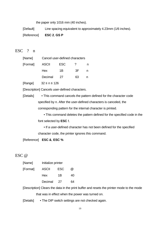the paper only 1016 mm (40 inches).

[Default] Line spacing equivalent to approximately 4.23mm (1/6 inches).

[Reference] **ESC 2**, **GS P**

#### ESC ? n

| [Name]   | Cancel user-defined characters |            |    |   |
|----------|--------------------------------|------------|----|---|
| [Format] | <b>ASCII</b>                   | <b>ESC</b> | 7  |   |
|          | <b>Hex</b>                     | 1B         | 3E | n |
|          | Decimal                        | 27         | 63 |   |

[Range] 32 ≤ n ≤ 126

[Description] Cancels user-defined characters.

[Details] • This command cancels the pattern defined for the character code specified by n. After the user-defined characters is canceled, the corresponding pattern for the internal character is printed.

> • This command deletes the pattern defined for the specified code in the font selected by **ESC !**.

• If a user-defined character has not been defined for the specified character code, the printer ignores this command.

[Reference] **ESC &**, **ESC %**

#### ESC @

| [Name]   | Initialize printer |            |               |
|----------|--------------------|------------|---------------|
| [Format] | <b>ASCII</b>       | <b>ESC</b> | $^{(\alpha)}$ |
|          | <b>Hex</b>         | 1Β         | 40            |
|          | Decimal            | -27        | 64            |

[Description] Clears the data in the print buffer and resets the printer mode to the mode that was in effect when the power was turned on.

[Details] • The DIP switch settings are not checked again.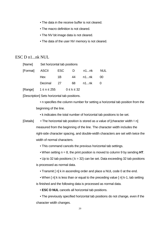- The data in the receive buffer is not cleared.
- The macro definition is not cleared.
- The NV bit image data is not cleared.
- The data of the user NV memory is not cleared.

#### ESC D n1...nk NUL

| [Name]   | Set horizontal tab positions |            |                    |       |     |
|----------|------------------------------|------------|--------------------|-------|-----|
| [Format] | ASCII                        | <b>ESC</b> | - D                | n1…nk | NUL |
|          | Hex                          | 1B         | 44                 | n1…nk | 00  |
|          | Decimal                      | - 27       | 68                 | n1nk  |     |
| [Range]  | $1 \le n \le 255$            |            | $0 \leq k \leq 32$ |       |     |

[Description] Sets horizontal tab positions.

• n specifies the column number for setting a horizontal tab position from the beginning of the line.

• k indicates the total number of horizontal tab positions to be set.

- [Details] The horizontal tab position is stored as a value of [character width $\times$ n] measured from the beginning of the line. The character width includes the right-side character spacing, and double-width characters are set with twice the width of normal characters.
	- This command cancels the previous horizontal tab settings.
	- When setting n = 8, the print position is moved to column 9 by sending **HT**.
	- Up to 32 tab positions ( $k = 32$ ) can be set. Data exceeding 32 tab positions is processed as normal data.
		- Transmit [ n] k in ascending order and place a NUL code 0 at the end.
		- When [n] k is less than or equal to the preceding value [n] k-1, tab setting

is finished and the following data is processed as normal data.

• **ESC D NUL** cancels all horizontal tab positions.

• The previously specified horizontal tab positions do not change, even if the character width changes.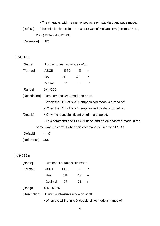• The character width is memorized for each standard and page mode.

[Default] The default tab positions are at intervals of 8 characters (columns 9, 17, 25,...) for font A  $(12\times24)$ .

[Reference] **HT**

## ESC E n

| [Name]           | Turn emphasized mode on/off                       |            |    |                                                                        |
|------------------|---------------------------------------------------|------------|----|------------------------------------------------------------------------|
| [Format]         | ASCII                                             | <b>ESC</b> | E  | n                                                                      |
|                  | Hex                                               | 1B         | 45 | n                                                                      |
|                  | Decimal                                           | 27         | 69 | n                                                                      |
| [Range]          | 0≤n≤255                                           |            |    |                                                                        |
|                  | [Description] Turns emphasized mode on or off     |            |    |                                                                        |
|                  |                                                   |            |    | • When the LSB of n is 0, emphasized mode is turned off.               |
|                  |                                                   |            |    | • When the LSB of n is 1, emphasized mode is turned on.                |
| [Details]        | • Only the least significant bit of n is enabled. |            |    |                                                                        |
|                  |                                                   |            |    | • This command and <b>ESC</b> ! turn on and off emphasized mode in the |
|                  |                                                   |            |    | same way. Be careful when this command is used with <b>ESC</b> !.      |
| [Default]        | $n = 0$                                           |            |    |                                                                        |
| [Reference] ESC! |                                                   |            |    |                                                                        |

## ESC G n

| <b>ASCII</b>      | <b>ESC</b> | G  | n                                                                     |
|-------------------|------------|----|-----------------------------------------------------------------------|
| Hex               | 1B         | 47 | n                                                                     |
| Decimal           | 27         | 71 | n                                                                     |
| $0 \le n \le 255$ |            |    |                                                                       |
|                   |            |    |                                                                       |
|                   |            |    | Turn on/off double-strike mode<br>Turns double-strike mode on or off. |

• When the LSB of n is 0, double-strike mode is turned off.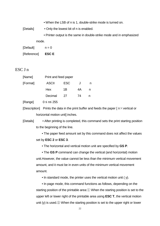• When the LSB of n is 1, double-strike mode is turned on.

[Details] • Only the lowest bit of n is enabled.

• Printer output is the same in double-strike mode and in emphasized

mode.

| [Default]   | $n = 0$     |
|-------------|-------------|
| [Reference] | <b>ESCE</b> |

#### ESC J n

| [Name]   | Print and feed paper |            |    |   |
|----------|----------------------|------------|----|---|
| [Format] | <b>ASCII</b>         | <b>ESC</b> | J  |   |
|          | Hex                  | 1Β         | 4А | n |
|          | Decimal              | 27         | 74 |   |
|          |                      |            |    |   |

 $[Ranqel \t 0 \le n \le 255]$ 

[Description] Prints the data in the print buffer and feeds the paper  $\lceil n \times$  vertical or horizontal motion unit] inches.

[Details] • After printing is completed, this command sets the print starting position to the beginning of the line.

> • The paper feed amount set by this command does not affect the values set by **ESC 2** or **ESC 3**.

• The horizontal and vertical motion unit are specified by **GS P**.

• The **GS P** command can change the vertical (and horizontal) motion unit.However, the value cannot be less than the minimum vertical movement amount, and it must be in even units of the minimum vertical movement amount.

• In standard mode, the printer uses the vertical motion unit ( y).

• In page mode, this command functions as follows, depending on the starting position of the printable area:① When the starting position is set to the upper left or lower right of the printable area using **ESC T**, the vertical motion unit (y) is used.② When the starting position is set to the upper right or lower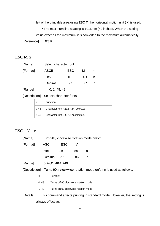left of the print able area using **ESC T**, the horizontal motion unit ( x) is used.

• The maximum line spacing is 1016mm (40 inches). When the setting

value exceeds the maximum, it is converted to the maximum automatically.

[Reference] **GS P**

## ESC M n

| [Name]   | Select character font |            |    |  |
|----------|-----------------------|------------|----|--|
| [Format] | <b>ASCII</b>          | <b>ESC</b> | м  |  |
|          | Hex                   | 1Β         | 4D |  |
|          | Decimal               | 27         | 77 |  |
|          |                       |            |    |  |

 $[Range]$   $n = 0, 1, 48, 49$ 

[Description] Selects character fonts.

| n    | Function                                    |
|------|---------------------------------------------|
| 0,48 | Character font A (12 $\times$ 24) selected. |
| 1,49 | Character font B $(9 \times 17)$ selected.  |

#### ESC V n

| [Name] | Turn 90□ clockwise rotation mode on/off |
|--------|-----------------------------------------|
|--------|-----------------------------------------|

| [Format] | ASCII      | <b>ESC</b> |     |   |
|----------|------------|------------|-----|---|
|          | Hex        | 1B         | 56. | n |
|          | Decimal 27 |            | 86  | n |

[Range] 0 ≤n≤1, 48≤n≤49

[Description] Turns 90 clockwise rotation mode on/off n is used as follows:

|      | Function                             |
|------|--------------------------------------|
| 0,48 | Turns off 90 clockwise rotation mode |
| - 49 | Turns on 90 clockwise rotation mode  |

[Details] This command affects printing in standard mode. However, the setting is always effective.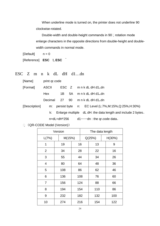When underline mode is turned on, the printer does not underline 90 clockwise-rotated.

Double-width and double-height commands in 90 rotation mode enlarge characters in the opposite directions from double-height and doublewidth commands in normal mode.

 $[Default]$   $n = 0$ [Reference] **ESC !, ESC** 

ESC Z m n k dL dH d1…dn

| [Name]        | print gr.code |                    |    |                                                              |  |
|---------------|---------------|--------------------|----|--------------------------------------------------------------|--|
| [Format]      | <b>ASCII</b>  | ESC Z              |    | m n k dL dH d1,,dn                                           |  |
|               | Hex           | 1B                 | 5A | m n k dL dH d1,,dn                                           |  |
|               | Decimal       | 27<br>90           |    | m n k dL dH d1,,dn                                           |  |
| [Description] | m:            |                    |    | persist byte n: EC Level (L:7%, M:15%, Q:25%, H:30%)         |  |
|               | k:            |                    |    | Enlarge multiple dL dH: the data length and include 2 bytes. |  |
|               |               | $n = dL + dH^*256$ |    | d1 ······ dn : the qr.code data.                             |  |

《QR-CODE Model (Version)》

| Version        |  |        |     | The data length |        |  |        |
|----------------|--|--------|-----|-----------------|--------|--|--------|
| L(7%)          |  | M(15%) |     |                 | Q(25%) |  | H(30%) |
| 1              |  | 19     |     | 16              | 13     |  | 9      |
| $\overline{2}$ |  | 34     |     | 28              | 22     |  | 16     |
| 3              |  | 55     | 44  |                 | 34     |  | 26     |
| $\overline{4}$ |  | 80     | 64  |                 | 48     |  | 36     |
| 5              |  | 108    | 86  |                 | 62     |  | 46     |
| 6              |  | 136    | 108 |                 | 76     |  | 60     |
| 7              |  | 156    | 124 |                 | 88     |  | 66     |
| 8              |  | 194    | 154 |                 | 110    |  | 86     |
| 9              |  | 232    | 182 |                 | 132    |  | 100    |
| 10             |  | 274    |     | 216             | 154    |  | 122    |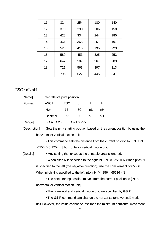| 11 | 324 | 254 | 180 | 140 |
|----|-----|-----|-----|-----|
| 12 | 370 | 290 | 206 | 158 |
| 13 | 428 | 334 | 244 | 180 |
| 14 | 461 | 365 | 261 | 197 |
| 15 | 523 | 415 | 195 | 223 |
| 16 | 589 | 453 | 325 | 253 |
| 17 | 647 | 507 | 367 | 283 |
| 18 | 721 | 563 | 397 | 313 |
| 19 | 795 | 627 | 445 | 341 |

## $ESC \setminus nL nH$

| [Name]   |                                           | Set relative print position |    |    |    |  |
|----------|-------------------------------------------|-----------------------------|----|----|----|--|
| [Format] | <b>ASCII</b>                              | ESC                         |    | nL | nH |  |
|          | Hex                                       | 1B                          | 5C | nL | nH |  |
|          | Decimal                                   | <b>27</b>                   | 92 | nL | nH |  |
| [Range]  | $0 \leq nL \leq 255$ $0 \leq nH \leq 255$ |                             |    |    |    |  |

[Description] Sets the print starting position based on the current position by using the horizontal or vertical motion unit.

> • This command sets the distance from the current position to [( nL + nH  $\times$  256) $\times$ 0.125mm] horizontal or vertical motion unit]

[Details] • Any setting that exceeds the printable area is ignored.

• When pitch N is specified to the right:  $nL + nH \times 256 = N$  When pitch N is specified to the left (the negative direction), use the complement of 65536. When pitch N is specified to the left:  $nL+nH \times 256 = 65536 - N$ 

• The print starting position moves from the current position to [ $N \times$ horizontal or vertical motion unit]

• The horizontal and vertical motion unit are specified by **GS P**.

• The **GS P** command can change the horizontal (and vertical) motion unit.However, the value cannot be less than the minimum horizontal movement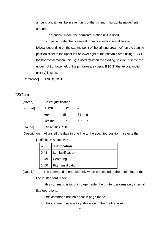amount, and it must be in even units of the minimum horizontal movement amount.

• In standard mode, the horizontal motion unit is used.

• In page mode, the horizontal or vertical motion unit differs as follows,depending on the starting point of the printing area:①When the starting position is set to the upper left or lower right of the printable area using **ESC T**, the horizontal motion unit ( $x$ ) is used.  $\oslash$  When the starting position is set to the upper right or lower left of the printable area using **ESC T**, the vertical motion unit ( y) is used.

[Reference] **ESC \$**, **GS P**

#### ESC a n

| [Name]   | Select justification |     |    |   |
|----------|----------------------|-----|----|---|
| [Format] | <b>ASCII</b>         | ESC | a  | n |
|          | Hex                  | 1В  | 61 | n |
|          | Decimal              | 27  | 97 | n |
| [Range]  | 0≤n≤2, 48≤n≤50       |     |    |   |

[Description] Aligns all the data in one line to the specified position n selects the justification as follows:

| n     | <b>Justification</b>       |
|-------|----------------------------|
| 0,48  | Left justification         |
| 1, 49 | Centering                  |
| 2, 50 | <b>Right justification</b> |

[Details] The command is enabled only when processed at the beginning of the line in standard mode.

> If this command is input in page mode, the printer performs only internal flag operations.

 $\Box$  This command has no effect in page mode.

 $\Box$  This command executes justification in the printing area.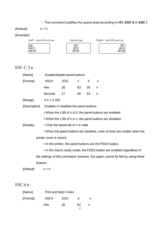## This command justifies the space area according to **HT, ESC \$** or **ESC \**.

 $[Default]$   $n = 0$ 

# [Example]

| Left justification       | Centering            | Right justification     |
|--------------------------|----------------------|-------------------------|
| ABC<br>  ABCD<br>  ABCDE | ABC<br>ABCD<br>ABCDE | ABC I<br>ABCD<br>ABCDEI |

# ESC C 5 n

| [Name]        |                                                          | Enable/disable panel buttons                              |                                      |             |    |                                                           |                                                                               |
|---------------|----------------------------------------------------------|-----------------------------------------------------------|--------------------------------------|-------------|----|-----------------------------------------------------------|-------------------------------------------------------------------------------|
| [Format]      |                                                          | <b>ASCII</b>                                              | <b>ESC</b>                           | $\mathbf C$ | 5  | n                                                         |                                                                               |
|               |                                                          | Hex                                                       | 1B                                   | 63          | 35 | n                                                         |                                                                               |
|               |                                                          | Decimal                                                   | 27                                   | 99          | 53 | n                                                         |                                                                               |
| [Range]       |                                                          | $0 \le n \le 255$                                         |                                      |             |    |                                                           |                                                                               |
| [Description] |                                                          | Enables or disables the panel buttons.                    |                                      |             |    |                                                           |                                                                               |
|               | • When the LSB of n is 0, the panel buttons are enabled. |                                                           |                                      |             |    |                                                           |                                                                               |
|               |                                                          | • When the LSB of n is 1, the panel buttons are disabled. |                                      |             |    |                                                           |                                                                               |
| [Details]     |                                                          |                                                           | • Only the lowest bit of n is valid. |             |    |                                                           |                                                                               |
|               |                                                          |                                                           |                                      |             |    |                                                           | • When the panel buttons are disabled, none of them are usable when the       |
|               |                                                          | printer cover is closed.                                  |                                      |             |    |                                                           |                                                                               |
|               |                                                          |                                                           |                                      |             |    | • In this printer, the panel buttons are the FEED button. |                                                                               |
|               |                                                          |                                                           |                                      |             |    |                                                           | • In the macro ready mode, the FEED button are enabled regardless of          |
|               |                                                          |                                                           |                                      |             |    |                                                           | the settings of this command; however, the paper cannot be fed by using these |
|               | buttons.                                                 |                                                           |                                      |             |    |                                                           |                                                                               |
| [Default]     |                                                          | $n = 0$                                                   |                                      |             |    |                                                           |                                                                               |

# ESC d n

| [Name]   | Print and feed n lines |      |    |   |
|----------|------------------------|------|----|---|
| [Format] | <b>ASCII</b>           | ESC. | d  | n |
|          | Hex                    | 1B   | 64 | n |
|          |                        |      | 27 |   |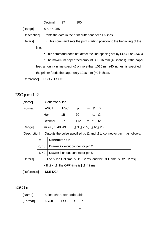|               | Decimal     | 27 | 100 |                                                                         |
|---------------|-------------|----|-----|-------------------------------------------------------------------------|
| [Range]       | 0 < n < 255 |    |     |                                                                         |
| [Description] |             |    |     | Prints the data in the print buffer and feeds n lines.                  |
| [Details]     |             |    |     | • This command sets the print starting position to the beginning of the |
| line.         |             |    |     |                                                                         |
|               |             |    |     | • This command does not affect the line spacing set by ESC 2 or ESC 3.  |
|               |             |    |     |                                                                         |

• The maximum paper feed amount is 1016 mm (40 inches). If the paper feed amount ( n line spacing) of more than 1016 mm (40 inches) is specified, the printer feeds the paper only 1016 mm (40 inches).

[Reference] **ESC 2**, **ESC 3**

# ESC p m t1 t2

| [Name]   | Generate pulse     |            |                                          |         |         |  |
|----------|--------------------|------------|------------------------------------------|---------|---------|--|
| [Format] | <b>ASCII</b>       | <b>ESC</b> | D                                        |         | m t1 t2 |  |
|          | Hex                | 1B         | 70.                                      | m t1 t2 |         |  |
|          | Decimal            | 27         | 112                                      | m t1 t2 |         |  |
| [Range]  | $m = 0, 1, 48, 49$ |            | $0 \leq t1 \leq 255, 0 \leq t2 \leq 255$ |         |         |  |

[Description] Outputs the pulse specified by t1 and t2 to connector pin m as follows:

|           | m     | <b>Connector pin</b>                                                                |
|-----------|-------|-------------------------------------------------------------------------------------|
|           | 0,48  | Drawer kick-out connector pin 2.                                                    |
|           | 1, 49 | Drawer kick-out connector pin 5.                                                    |
| [Details] |       | • The pulse ON time is [ t1 $\times$ 2 ms] and the OFF time is [ t2 $\times$ 2 ms]. |
|           |       | • If t2 < t1, the OFF time is [t1 $\times$ 2 ms]                                    |

[Reference] **DLE DC4**

## ESC t n

| [Name]   | Select character code table |      |  |
|----------|-----------------------------|------|--|
| [Format] | <b>ASCII</b>                | ESC. |  |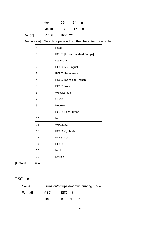Decimal 27 116 n

[Range] 0≤n ≤10, 16≤n ≤21

[Description] Selects a page n from the character code table.

| n                       | Page                          |
|-------------------------|-------------------------------|
| 0                       | PC437 [U.S.A.Standard Europe] |
| 1                       | Katakana                      |
| $\overline{2}$          | PC850:Multilingual            |
| 3                       | PC860:Portuguese              |
| $\overline{\mathbf{A}}$ | PC863 [Canadian French]       |
| 5                       | PC865:Nodic                   |
| 6                       | West Europe                   |
| 7                       | Greek                         |
| 8                       | <b>Hebrew</b>                 |
| 9                       | PC755: East Europe            |
| 10                      | Iran                          |
| 16                      | <b>WPC1252</b>                |
| 17                      | PC866:Cyrillic#2              |
| 18                      | PC852:Latin2                  |
| 19                      | <b>PC858</b>                  |
| 20                      | Iranll                        |
| 21                      | Latvian                       |

 $[Default]$   $n = 0$ 

# ESC { n

| [Name]   |               |  | Turns on/off upside-down printing mode |
|----------|---------------|--|----------------------------------------|
| [Format] | ASCII ESC { n |  |                                        |
|          | Hex 1B 7B n   |  |                                        |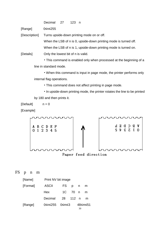| Decimal<br>27<br>123 |  |
|----------------------|--|
|----------------------|--|

[Range] 0≤n≤255

[Description] Turns upside-down printing mode on or off.

When the LSB of n is 0, upside-down printing mode is turned off.

When the LSB of n is 1, upside-down printing mode is turned on.

[Details] Only the lowest bit of n is valid.

• This command is enabled only when processed at the beginning of a line in standard mode.

• When this command is input in page mode, the printer performs only internal flag operations.

• This command does not affect printing in page mode.

• In upside-down printing mode, the printer rotates the line to be printed by 180 and then prints it.

 $[Default]$   $n = 0$ 

[Example]





FS p n m

| [Name]   | Print NV bit image |          |                 |          |         |
|----------|--------------------|----------|-----------------|----------|---------|
| [Format] | <b>ASCII</b>       | FS       | $p \rightarrow$ | n        | m       |
|          | Hex                | 1C -     | - 70 n          |          | m       |
|          | Decimal            | 28 112 n |                 |          | m       |
| [Range]  | 0≤n≤255 0≤m≤3      |          |                 | $\Omega$ | 48≤m≤51 |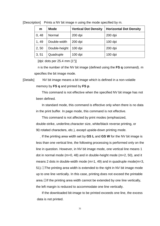| m     | <b>Mode</b>   | <b>Vertical Dot Density</b> | <b>Horizontal Dot Density</b> |
|-------|---------------|-----------------------------|-------------------------------|
| 0, 48 | Normal        | $200$ dpi                   | $200$ dpi                     |
| 1, 49 | Double-width  | $200$ dpi                   | $100$ dpi                     |
| 2,50  | Double-height | $100$ dpi                   | $200$ dpi                     |
| 3, 51 | Quadruple     | $100$ dpi                   | $100$ dpi                     |

[Description] Prints a NV bit image n using the mode specified by m.

[dpi: dots per 25.4 mm {1"}]

n is the number of the NV bit image (defined using the **FS q** command). m specifies the bit image mode.

[Details] NV bit image means a bit image which is defined in a non-volatile

memory by **FS q** and printed by **FS p**.

This command is not effective when the specified NV bit image has not been defined.

In standard mode, this command is effective only when there is no data in the print buffer. In page mode, this command is not effective.

This command is not affected by print modes (emphasized, double-strike, underline,character size, white/black reverse printing, or 90 rotated characters, etc.), except upside-down printing mode.

If the printing area width set by **GS L** and **GS W** for the NV bit image is less than one vertical line, the following processing is performed only on the line in question. However, in NV bit image mode, one vertical line means 1 dot in normal mode (m=0, 48) and in double-height mode (m=2, 50), and it means 2 dots in double-width mode (m=1, 49) and in quadruple mode(m=3, 51).①The printing area width is extended to the right in NV bit image mode up to one line vertically. In this case, printing does not exceed the printable area.②If the printing area width cannot be extended by one line vertically, the left margin is reduced to accommodate one line vertically.

If the downloaded bit-image to be printed exceeds one line, the excess data is not printed.

31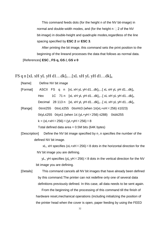This command feeds dots (for the height n of the NV bit-image) in normal and double-width modes, and (for the height  $n \square 2$  of the NV bit-image) in double-height and quadruple modes,regardless of the line spacing specified by **ESC 2** or **ESC 3**.

After printing the bit image, this command sets the print position to the beginning of the lineand processes the data that follows as normal data.

[References] **ESC , FS q, GS /, GS v 0**

FS q n [xL xH yL yH d1...dk]<sub>1</sub>...[xL xH yL yH d1...dk]<sub>n</sub>

[Name] Define NV bit image

[Format] ASCII FS q n [xL xH yL yH d1...dk] $_{1}$ ...[ xL xH yL yH d1...dk] $_{n}$ Hex  $1C$  71 n [xL xH yL yH d1...dk]<sub>1</sub>...[ xL xH yL yH d1...dk]<sub>n</sub> Decimal 28 113 n  $[xL xH yL yH d1...dk]$ <sub>1</sub>...[ xL xH yL yH d1...dk]<sub>n</sub>

[Range] 0≤n≤255 0≤xL≤255 0≤xH≤3 (when 1≤(xL+xH×256) ≤1023) 0≤yL≤255 0≤y≤1 (when 1≤ (yL+yH×256) ≤288) 0≤d≤255  $k = (xL+xH \times 256) \times (yL+yH \times 256) \times 8$ 

Total defined data area  $= 0.5M$  bits (64K bytes)

[Description] Define the NV bit image specified by n .n specifies the number of the defined NV bit image.

> xL, xH specifies  $(xL+xH \times 256) \times 8$  dots in the horizontal direction for the NV bit image you are defining.

> yL, yH specifies (yL yH $\times$ 256) $\times$ 8 dots in the vertical direction for the NV bit image you are defining.

[Details] This command cancels all NV bit images that have already been defined by this command.The printer can not redefine only one of several data definitions previously defined. In this case, all data needs to be sent again.

> From the beginning of the processing of this command till the finish of hardware reset,mechanical operations (including initializing the position of the printer head when the cover is open, paper feeding by using the FEED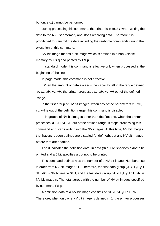button, etc.) cannot be performed.

During processing this command, the printer is in BUSY when writing the data to the NV user memory and stops receiving data. Therefore it is prohibitted to transmit the data including the real-time commands during the execution of this command.

NV bit image means a bit image which is defined in a non-volatile memory by **FS q** and printed by **FS p**.

In standard mode, this command is effective only when processed at the beginning of the line.

In page mode, this command is not effective.

When the amount of data exceeds the capacity left in the range defined by xL, xH, yL, yH, the printer processes xL, xH, yL, yH out of the defined range.

In the first group of NV bit images, when any of the parameters xL, xH, yL, yH is out of the definition range, this command is disabled.

 $\Box$  In groups of NV bit images other than the first one, when the printer processes xL, xH, yL, yH out of the defined range, it stops processing this command and starts writing into the NV images. At this time, NV bit images that haven¡¯t been defined are disabled (undefined), but any NV bit images before that are enabled.

The d indicates the definition data. In data (d) a 1 bit specifies a dot to be printed and a 0 bit specifies a dot not to be printed.

This command defines n as the number of a NV bit image. Numbers rise in order from NV bit image 01H. Therefore, the first data group [xL xH yL yH d1...dk] is NV bit image 01H, and the last data group [xL xH yL yH d1...dk] is NV bit image n. The total agrees with the number of NV bit images specified by command **FS p**.

A definition data of a NV bit image consists of [xL xH yL yH d1...dk]. Therefore, when only one NV bit image is defined n=1, the printer processes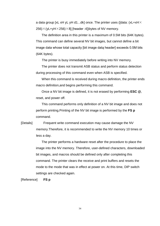a data group [xL xH yL yH d1...dk] once. The printer uses ([data: (xL+xH $\times$  $256$ ) $\times$ (yL+yH $\times$ 256) $\times$ 8] [header :4])bytes of NV memory.

The definition area in this printer is a maximum of 0.5M bits (64K bytes). This command can define several NV bit images, but cannot define a bit image data whose total capacity [bit image data header] exceeds 0.5M bits (64K bytes).

The printer is busy immediately before writing into NV memory.

The printer does not transmit ASB status and perform status detection during processing of this command even when ASB is specified.

When this command is received during macro definition, the printer ends macro definition,and begins performing this command.

Once a NV bit image is defined, it is not erased by performing **ESC @**, reset, and power off.

This command performs only definition of a NV bit image and does not perform printing.Printing of the NV bit image is performed by the **FS p**  command.

[Details] Frequent write command execution may cause damage the NV memory.Therefore, it is recommended to write the NV memory 10 times or less a day.

> The printer performs a hardware reset after the procedure to place the image into the NV memory. Therefore, user-defined characters, downloaded bit images, and macros should be defined only after completing this command. The printer clears the receive and print buffers and resets the mode to the mode that was in effect at power on. At this time, DIP switch settings are checked again.

[Reference] **FS p**

34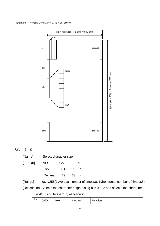[Example] When  $xL = 64$ ,  $xH = 0$ ,  $yL = 96$ ,  $yH = 0$ 



## GS ! n

| [Name]   | Select character size |      |      |   |
|----------|-----------------------|------|------|---|
| [Format] | <b>ASCII</b>          | GS . |      | n |
|          | <b>Hex</b>            | 1D.  | - 21 |   |
|          | Decimal               | 29   | 33   | n |

[Range] 0≤n≤255(1≤vertical number of times≤8, 1≤horizontal number of times≤8) [Description] Selects the character height using bits 0 to 2 and selects the character

width using bits 4 to 7, as follows:

| D:<br>$_{\rm{DL}}$ | $\bigcap_{i} f(f)$<br>)n<br>◡ | нех | $\overline{\phantom{a}}$<br>Decimal | unction<br>_ |
|--------------------|-------------------------------|-----|-------------------------------------|--------------|
|--------------------|-------------------------------|-----|-------------------------------------|--------------|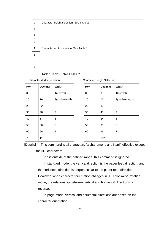| 0                       | Character height selection. See Table 2. |
|-------------------------|------------------------------------------|
| 1                       |                                          |
| $\overline{2}$          |                                          |
| $\mathbf{3}$            |                                          |
| $\overline{\mathbf{4}}$ | Character width selection. See Table 1.  |
| 5                       |                                          |
| $\,6$                   |                                          |
| 7                       |                                          |

Table 1 Table 2 Table 1 Table 2

| <b>Character Width Selection</b> |  |  |  |
|----------------------------------|--|--|--|
|----------------------------------|--|--|--|

| Hex | <b>Decimal</b> | <b>Width</b>    | <b>Hex</b> | <b>Decimal</b> | <b>Width</b> |
|-----|----------------|-----------------|------------|----------------|--------------|
| 00  | 0              | 1(normal)       | 00         | 0              | 1(normal)    |
| 10  | 16             | 2(double-width) | 10         | 16             | 2(double-    |
| 20  | 32             | 3               | 20         | 32             | 3            |
| 30  | 48             | 4               | 30         | 48             | 4            |
| 40  | 64             | 5               | 40         | 64             | 5            |
| 50  | 80             | 6               | 50         | 80             | 6            |
| 60  | 96             | $\overline{7}$  | 60         | 96             | 7            |
| 70  | 112            | 8               | 70         | 112            | 8            |

| Hex | <b>Decimal</b> | Width           | Hex | <b>Decimal</b> | Width            |
|-----|----------------|-----------------|-----|----------------|------------------|
| 00  | $\mathbf 0$    | 1(normal)       | 00  | 0              | 1(normal)        |
| 10  | 16             | 2(double-width) | 10  | 16             | 2(double-height) |
| 20  | 32             | 3               | 20  | 32             | 3                |
| 30  | 48             | $\overline{4}$  | 30  | 48             | 4                |
| 40  | 64             | 5               | 40  | 64             | 5                |
| 50  | 80             | 6               | 50  | 80             | 6                |
| 60  | 96             | $\overline{7}$  | 60  | 96             | $\overline{7}$   |
| 70  | 112            | 8               | 70  | 112            | 8                |

[Details] This command is all characters (alphanumeric and Kanji) effective except

for HRI characters.

If n is outside of the defined range, this command is ignored.

In standard mode, the vertical direction is the paper feed direction, and the horizontal direction is perpendicular to the paper feed direction. However, when character orientation changes in 90 clockwise-rotation mode, the relationship between vertical and horizontal directions is reversed.

In page mode, vertical and horizontal directions are based on the character orientation.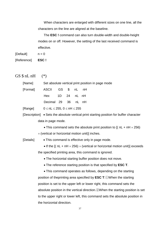When characters are enlarged with different sizes on one line, all the characters on the line are aligned at the baseline.

The **ESC !** command can also turn double-width and double-height modes on or off. However, the setting of the last received command is effective.

 $[Default]$   $n = 0$ [Reference] **ESC !**

GS  $$nL nH$  (\*)

| [Name]                                                      |  | Set absolute vertical print position in page mode |           |    |       |                                                                                         |  |
|-------------------------------------------------------------|--|---------------------------------------------------|-----------|----|-------|-----------------------------------------------------------------------------------------|--|
| [Format]                                                    |  | <b>ASCII</b>                                      | <b>GS</b> | \$ | nL    | nH                                                                                      |  |
|                                                             |  | Hex                                               | 1D        | 24 | nL nH |                                                                                         |  |
|                                                             |  | Decimal 29                                        |           | 36 | nL nH |                                                                                         |  |
| [Range]                                                     |  | $0 \leq nL \leq 255$ , $0 \leq nH \leq 255$       |           |    |       |                                                                                         |  |
|                                                             |  |                                                   |           |    |       | [Description] • Sets the absolute vertical print starting position for buffer character |  |
|                                                             |  | data in page mode.                                |           |    |       |                                                                                         |  |
|                                                             |  |                                                   |           |    |       | • This command sets the absolute print position to $[(nL + nH \times 256)]$             |  |
|                                                             |  |                                                   |           |    |       | $\times$ (vertical or horizontal motion unit)] inches.                                  |  |
| [Details]<br>• This command is effective only in page mode. |  |                                                   |           |    |       |                                                                                         |  |
|                                                             |  |                                                   |           |    |       | • If the $[(nL + nH \times 256) \times (vertical or horizontal motion unit)] exceeds$   |  |
|                                                             |  |                                                   |           |    |       | the specified printing area, this command is ignored.                                   |  |
|                                                             |  |                                                   |           |    |       | • The horizontal starting buffer position does not move.                                |  |
|                                                             |  |                                                   |           |    |       | • The reference starting position is that specified by ESC T.                           |  |
|                                                             |  |                                                   |           |    |       | • This command operates as follows, depending on the starting                           |  |
|                                                             |  |                                                   |           |    |       | position of theprinting area specified by <b>ESC T</b> : $(1)$ When the starting        |  |
|                                                             |  |                                                   |           |    |       | position is set to the upper left or lower right, this command sets the                 |  |
|                                                             |  |                                                   |           |    |       | absolute position in the vertical direction. @When the starting position is set         |  |
|                                                             |  |                                                   |           |    |       | to the upper right or lower left, this command sets the absolute position in            |  |
|                                                             |  | the horizontal direction.                         |           |    |       |                                                                                         |  |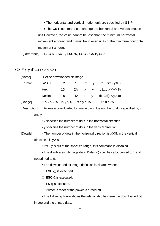• The horizontal and vertical motion unit are specified by **GS P**.

• The **GS P** command can change the horizontal and vertical motion unit.However, the value cannot be less than the minimum horizontal movement amount, and it must be in even units of the minimum horizontal movement amount.

[Reference] **ESC \$, ESC T, ESC W, ESC \, GS P, GS \**

GS  $*$  x y d1...d(x×y×8)

| [Name]   | Define downloaded bit image |    |  |                                                                         |
|----------|-----------------------------|----|--|-------------------------------------------------------------------------|
| [Format] | <b>ASCII</b>                |    |  | GS $\star$ x y d1d(x $\times$ y $\times$ 8)                             |
|          | Hex                         | 1D |  | 2A x y d1 $d(x \times y \times 8)$                                      |
|          | Decimal                     | 29 |  | 42 x y d1 $d(x \times y \times 8)$                                      |
| [Range]  |                             |    |  | $1 \le x \le 255$ $1 \le y \le 48$ $x \le y \le 1536$ $0 \le d \le 255$ |

[Description] Defines a downloaded bit image using the number of dots specified by x and y

• x specifies the number of dots in the horizontal direction.

• y specifies the number of dots in the vertical direction.

[Details] • The number of dots in the horizontal direction is  $x \times 8$ , in the vertical direction it is  $y \times 8$ .

 $\bullet$  If  $x \times y$  is out of the specified range, this command is disabled.

• The d indicates bit-image data. Data ( d) specifies a bit printed to 1 and not printed to 0.

• The downloaded bit image definition is cleared when:

- ① **ESC @** is executed.
- ② **ESC &** is executed.
- ③ **FS q** is executed.
- □ Printer is reset or the power is turned off.

• The following figure shows the relationship between the downloaded bit image and the printed data.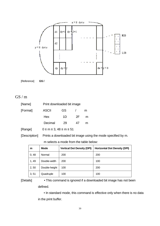



## $GS/m$

| [Name]   |                                     | Print downloaded bit image |    |   |  |  |  |
|----------|-------------------------------------|----------------------------|----|---|--|--|--|
| [Format] | <b>ASCII</b>                        | GS.                        |    | m |  |  |  |
|          | Hex                                 | 1D                         | 2F | m |  |  |  |
|          | Decimal                             | 29                         | 47 | m |  |  |  |
| [Range]  | $0 \le m \le 3$ , $48 \le m \le 51$ |                            |    |   |  |  |  |

[Description] Prints a downloaded bit image using the mode specified by m.

m selects a mode from the table below:

| m     | <b>Mode</b>   | <b>Vertical Dot Density (DPI)</b> | <b>Horizontal Dot Density (DPI)</b> |
|-------|---------------|-----------------------------------|-------------------------------------|
| 0,48  | Normal        | 200                               | 200                                 |
| 1,49  | Double-width  | 200                               | 100                                 |
| 2, 50 | Double-height | 100                               | 200                                 |
| 3, 51 | Quadruple     | 100                               | 100                                 |

[Details] • This command is ignored if a downloaded bit image has not been defined.

> • In standard mode, this command is effective only when there is no data in the print buffer.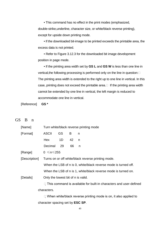• This command has no effect in the print modes (emphasized, double-strike,underline, character size, or white/black reverse printing), except for upside down printing mode.

• If the downloaded bit-image to be printed exceeds the printable area, the excess data is not printed.

• Refer to Figure 3.12.3 for the downloaded bit image development position in page mode.

• If the printing area width set by **GS L** and **GS W** is less than one line in vertical, the following processing is performed only on the line in question: The printing area width is extended to the right up to one line in vertical. In this case, printing does not exceed the printable area. $\Box$  If the printing area width cannot be extended by one line in vertical, the left margin is reduced to accommodate one line in vertical.

[Reference] **GS \***

#### GS B n

| [Name]                                                                    |                                                                 | Turn white/black reverse printing mode |    |                                                                         |  |  |  |
|---------------------------------------------------------------------------|-----------------------------------------------------------------|----------------------------------------|----|-------------------------------------------------------------------------|--|--|--|
| [Format]                                                                  | <b>ASCII</b>                                                    | GS.                                    | B  | n                                                                       |  |  |  |
|                                                                           | Hex                                                             | 1D                                     | 42 | n                                                                       |  |  |  |
|                                                                           | Decimal                                                         | 29                                     | 66 | n                                                                       |  |  |  |
| [Range]                                                                   | $0 \le n \le 255$                                               |                                        |    |                                                                         |  |  |  |
| [Description]                                                             | Turns on or off white/black reverse printing mode.              |                                        |    |                                                                         |  |  |  |
|                                                                           | When the LSB of n is 0, white/black reverse mode is turned off. |                                        |    |                                                                         |  |  |  |
|                                                                           |                                                                 |                                        |    | When the LSB of n is 1, white/black reverse mode is turned on.          |  |  |  |
| [Details]                                                                 | Only the lowest bit of n is valid.                              |                                        |    |                                                                         |  |  |  |
| $\Box$ This command is available for built-in characters and user-defined |                                                                 |                                        |    |                                                                         |  |  |  |
|                                                                           | characters.                                                     |                                        |    |                                                                         |  |  |  |
|                                                                           |                                                                 |                                        |    | $\Box$ When white/black reverse printing mode is on, it also applied to |  |  |  |
|                                                                           | character spacing set by <b>ESC SP</b> .                        |                                        |    |                                                                         |  |  |  |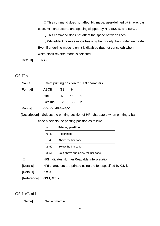$\Box$  This command does not affect bit image, user-defined bit image, bar code, HRI characters, and spacing skipped by **HT**, **ESC \$**, and **ESC \**.

 $\Box$  This command does not affect the space between lines.

 $\Box$  White/black reverse mode has a higher priority than underline mode. Even if underline mode is on, it is disabled (but not canceled) when white/black reverse mode is selected.

 $[Default]$   $n = 0$ 

#### GS H n

| [Name]              |                 |  | Select printing position for HRI characters |
|---------------------|-----------------|--|---------------------------------------------|
| [Format] ASCII GS H |                 |  |                                             |
|                     | Hex 1D 48       |  |                                             |
|                     | Decimal 29 72 n |  |                                             |
|                     |                 |  |                                             |

[Range] 0≤n≤, 48≤n≤51

[Description] Selects the printing position of HRI characters when printing a bar

| code.n selects the printing position as follows: |  |
|--------------------------------------------------|--|
|--------------------------------------------------|--|

| n     | <b>Printing position</b>          |
|-------|-----------------------------------|
| 0,48  | Not printed                       |
| 1, 49 | Above the bar code                |
| 2, 50 | Below the bar code                |
| 3, 51 | Both above and below the bar code |

HRI indicates Human Readable Interpretation.

[Details] HRI characters are printed using the font specified by **GS f**.

 $[Default]$   $n = 0$ 

[Reference] **GS f**, **GS k**

## GS L nL nH

[Name] Set left margin

41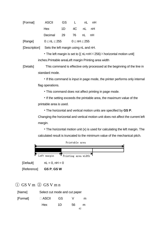| [Format] | <b>ASCII</b>         | GS . | $\mathsf{L}$ |              | nL nH |
|----------|----------------------|------|--------------|--------------|-------|
|          | Hex                  | 1D - |              | 4C nL nH     |       |
|          | Decimal 29 76 nL nH  |      |              |              |       |
| [Range]  | $0 \leq nL \leq 255$ |      |              | 0 < nH < 255 |       |

[Description] Sets the left margin using nL and nH.

• The left margin is set to  $[(nL+nH \times 256) \times$  horizontal motion unit] inches.Printable areaLeft margin Printing area width

[Details] This command is effective only processed at the beginning of the line in standard mode.

> • If this command is input in page mode, the printer performs only internal flag operations.

• This command does not affect printing in page mode.

• If the setting exceeds the printable area, the maximum value of the printable area is used.

• The horizontal and vertical motion units are specified by **GS P**.

Changing the horizontal and vertical motion unit does not affect the current left margin.

• The horizontal motion unit (x) is used for calculating the left margin. The calculated result is truncated to the minimum value of the mechanical pitch.



 $[Default]$   $nL = 0$ ,  $nH = 0$ 

[Reference] **GS P**, **GS W**

 $\Omega$  GS V m  $\Omega$  GS V m n

| [Name]   | Select cut mode and cut paper |    |    |   |
|----------|-------------------------------|----|----|---|
| [Format] | $\Box$ ASCII                  | GS |    | m |
|          | Hex                           | 1D | 56 | m |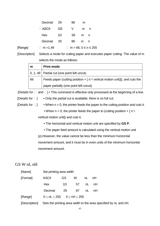|         | Decimal 29   |           | 86  | m |                           |
|---------|--------------|-----------|-----|---|---------------------------|
|         | $\Box$ ASCII | <b>GS</b> | - V | m | n                         |
|         | Hex          | 1D.       | 56  | m | n                         |
|         | Decimal 29   |           | 86  | m | n                         |
| [Range] | □ m = 1,49   |           | П   |   | $m = 66, 0 \le n \le 255$ |

[Description] Selects a mode for cutting paper and executes paper cutting. The value of m selects the mode as follows:

| m  | <b>Print mode</b>                                                                       |
|----|-----------------------------------------------------------------------------------------|
|    | $\vert$ 0, 1, 49   Partial cut (one point left uncut)                                   |
| 66 | Feeds paper (cutting position + $\lceil n \times$ vertical motion unit)]), and cuts the |
|    | paper partially (one point left uncut).                                                 |

[Details for  $\Box$  and  $\Box$ ] • This command is effective only processed at the beginning of a line.

[Details for  $\square$ ] • Only the partial cut is available; there is no full cut.

[Details for  $\square$ ] • When  $n = 0$ , the printer feeds the paper to the cutting position and cuts it.

• When  $n = 0$ , the printer feeds the paper to (cutting position +  $\lceil n \times \rceil$ 

vertical motion unit]) and cuts it.

- The horizontal and vertical motion unit are specified by **GS P**.
- The paper feed amount is calculated using the vertical motion unit

(y).However, the value cannot be less than the minimum horizontal movement amount, and it must be in even units of the minimum horizontal movement amount.

## GS W nL nH

| [Name]   | Set printing area width       |           |    |    |    |  |
|----------|-------------------------------|-----------|----|----|----|--|
| [Format] | <b>ASCII</b>                  | <b>GS</b> | W  | nL | nH |  |
|          | Hex                           | 1D        | 57 | nL | nH |  |
|          | Decimal                       | 29        | 87 | nL | nH |  |
| [Range]  | $0 < nL < 255$ $0 < nH < 255$ |           |    |    |    |  |
|          |                               |           |    |    |    |  |

[Description] Sets the printing area width to the area specified by nL and nH.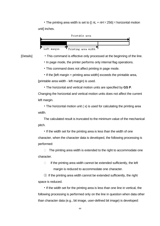• The printing area width is set to  $I($  nL + nH $\times$ 256) $\times$  horizontal motion unit] inches.



- [Details] This command is effective only processed at the beginning of the line.
	- In page mode, the printer performs only internal flag operations.
	- This command does not affect printing in page mode.
	- If the [left margin + printing area width] exceeds the printable area,

[printable area width - left margin) is used.

• The horizontal and vertical motion units are specified by **GS P**. Changing the horizontal and vertical motion units does not affect the current left margin.

• The horizontal motion unit ( x) is used for calculating the printing area width.

The calculated result is truncated to the minimum value of the mechanical pitch.

• If the width set for the printing area is less than the width of one character, when the character data is developed, the following processing is performed:

 $\Box$  The printing area width is extended to the right to accommodate one character.

 $\Box$  If the printing area width cannot be extended sufficiently, the left margin is reduced to accommodate one character.

③ If the printing area width cannot be extended sufficiently, the right space is reduced.

• If the width set for the printing area is less than one line in vertical, the following processing is performed only on the line in question when data other than character data (e.g., bit image, user-defined bit image) is developed: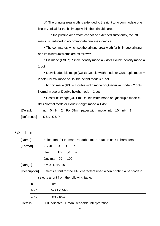① The printing area width is extended to the right to accommodate one line in vertical for the bit image within the printable area.

 $\Box$  If the printing area width cannot be extended sufficiently, the left margin is reduced to accommodate one line in vertical.

• The commands which set the printing area width for bit image printing and its minimum widths are as follows:

• Bit image (**ESC \***): Single density mode = 2 dots Double density mode = 1 dot

• Downloaded bit image (**GS /**): Double width mode or Quadruple mode = 2 dots Normal mode or Double-height mode = 1 dot

• NV bit image (**FS p**): Double width mode or Quadruple mode = 2 dots Normal mode or Double-height mode = 1 dot

• Raster bit image (**GS r 0**): Double width mode or Quadruple mode = 2 dots Normal mode or Double-height mode = 1 dot

[Default]  $nL = 0$ ,  $nH = 2$  For 58mm paper width model;  $nL = 104$ ,  $nH = 1$ 

[Reference] **GS L**, **GS P**

GS f n

[Name] Select font for Human Readable Interpretation (HRI) characters

| [Format] | ASCII GS f         |  | n n |
|----------|--------------------|--|-----|
|          | Hex 1D 66 n        |  |     |
|          | Decimal 29 102 n   |  |     |
| [Range]  | $n = 0, 1, 48, 49$ |  |     |

[Description] Selects a font for the HRI characters used when printing a bar code n selects a font from the following table:

| n     | <b>Font</b>    |
|-------|----------------|
| 0, 48 | Font A (12-24) |
| 1, 49 | Font B (9.17)  |

[Details] HRI indicates Human Readable Interpretation.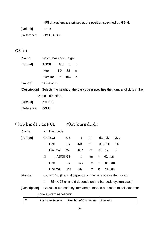HRI characters are printed at the position specified by **GS H**.

| [Default]   | $n = 0$    |
|-------------|------------|
| [Reference] | GS H, GS k |

## GS h n

| [Name]   | Select bar code height |      |          |   |
|----------|------------------------|------|----------|---|
| [Format] | <b>ASCII</b>           | GS.  | <b>h</b> | n |
|          | Hex                    | - 1D | 68       |   |
|          | Decimal 29 104         |      |          | n |
|          |                        |      |          |   |

[Range] 1≤n≤255

[Description] Selects the height of the bar code n specifies the number of dots in the vertical direction.

 $[Default]$   $n = 162$ 

[Reference] **GS k**

# ①GS k m d1…dk NUL ②GS k m n d1..dn

| [Name]                                     | Print bar code                                                                                                                                                                                                                                                                                                                                                                                                                                      |           |     |   |   |        |     |
|--------------------------------------------|-----------------------------------------------------------------------------------------------------------------------------------------------------------------------------------------------------------------------------------------------------------------------------------------------------------------------------------------------------------------------------------------------------------------------------------------------------|-----------|-----|---|---|--------|-----|
| [Format]                                   | ① ASCII                                                                                                                                                                                                                                                                                                                                                                                                                                             | <b>GS</b> | k   | m |   | d1…dk  | NUL |
|                                            | Hex                                                                                                                                                                                                                                                                                                                                                                                                                                                 | 1D        | 6B  | m |   | d1…dk  | 00  |
|                                            | Decimal                                                                                                                                                                                                                                                                                                                                                                                                                                             | 29        | 107 | m |   | d1…dk  | - 0 |
|                                            |                                                                                                                                                                                                                                                                                                                                                                                                                                                     | ASCII GS  | k   | m |   | n d1dn |     |
|                                            | Hex                                                                                                                                                                                                                                                                                                                                                                                                                                                 | 1D        | 6B  | m |   | n d1dn |     |
|                                            | Decimal                                                                                                                                                                                                                                                                                                                                                                                                                                             | 29        | 107 | m | n | d1dn   |     |
| $\mathbf{r}$ , $\mathbf{r}$ , $\mathbf{r}$ | $\big(\cdot\big)$ $\big(\bullet\big)$ $\big(\cdot\big)$ $\big(\bullet\big)$ $\big(\bullet\big)$ $\big(\bullet\big)$ $\big(\bullet\big)$ $\big(\bullet\big)$ $\big(\bullet\big)$ $\big(\bullet\big)$ $\big(\bullet\big)$ $\big(\bullet\big)$ $\big(\bullet\big)$ $\big(\bullet\big)$ $\big(\bullet\big)$ $\big(\bullet\big)$ $\big(\bullet\big)$ $\big(\bullet\big)$ $\big(\bullet\big)$ $\big(\bullet\big)$ $\big(\bullet\big)$ $\big(\bullet\big)$ |           |     |   |   |        |     |

[Range]  $\qquad \qquad \textcircled{10}\leq m\leq 6$  (k and d depends on the bar code system used)

□ 65m ≤73 (n and d depends on the bar code system used)

[Description] Selects a bar code system and prints the bar code. m selects a bar code system as follows:

| m<br>Number of Characters   Remarks<br><b>Bar Code System</b> |
|---------------------------------------------------------------|
|---------------------------------------------------------------|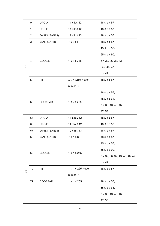|               | 0              | UPC-A                | $11 \leq k \leq 12$     | $48 \le d \le 57$                |
|---------------|----------------|----------------------|-------------------------|----------------------------------|
|               | 1              | UPC-E                | $11 \leq k \leq 12$     | $48 \le d \le 57$                |
|               | $\overline{2}$ | JAN13 (EAN13)        | $12 \leq k \leq 13$     | $48 \le d \le 57$                |
|               | 3              | JAN8 (EAN8)          | $7 \leq k \leq 8$       | $48 \le d \le 57$                |
|               |                |                      |                         | $45 \le d \le 57$ ,              |
|               |                |                      |                         | $65 \le d \le 90$ ,              |
|               | 4              | CODE39               | $1 \leq k \leq 255$     | $d = 32, 36, 37, 43,$            |
| $\odot$       |                |                      |                         | 45, 46, 47                       |
|               |                |                      |                         | $d = 42$                         |
|               | 5              | <b>ITF</b>           | 1 ≤ k ≤255 (even        | $48 \le d \le 57$                |
|               |                |                      | number)                 |                                  |
|               |                |                      |                         | $48 \le d \le 57$ ,              |
|               | 6              | <b>CODABAR</b>       | $1 \leq k \leq 255$     | $65 \le d \le 68$ ,              |
|               |                |                      |                         | $d = 36, 43, 45, 46,$            |
|               |                |                      |                         | 47, 58                           |
|               | 65             | UPC-A                | $11 \le n \le 12$       | $48 \le d \le 57$                |
|               | 66             | UPC-E                | $11 \le n \le 12$       | $48 \le d \le 57$                |
|               | 67             | <b>JAN13 (EAN13)</b> | $12 \le n \le 13$       | $48 \le d \le 57$                |
|               | 68             | JAN8 (EAN8)          | $7 \le n \le 8$         | $48 \le d \le 57$                |
|               |                |                      |                         | $45 \le d \le 57$ ,              |
|               | 69             | CODE39               | $1 \le n \le 255$       | $65 \le d \le 90$ ,              |
|               |                |                      |                         | $d = 32, 36, 37, 43, 45, 46, 47$ |
|               |                |                      |                         | $d = 42$                         |
| $\circled{2}$ | 70             | <b>ITF</b>           | $1 \le n \le 255$ (even | $48 \le d \le 57$                |
|               |                |                      | number)                 |                                  |
|               | 71             | <b>CODABAR</b>       | $1 \le n \le 255$       | $48 \le d \le 57$ ,              |
|               |                |                      |                         | $65 \le d \le 68$ ,              |
|               |                |                      |                         | $d = 36, 43, 45, 46,$            |
|               |                |                      |                         | 47,58                            |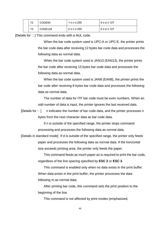| 72 | CODE <sub>93</sub>  | 1 ≤ n ≤ 255         | $0 \leq d \leq 127$ |
|----|---------------------|---------------------|---------------------|
| 73 | CODE <sub>128</sub> | $2 \leq n \leq 255$ | l 0 ≤ d ≤ 127       |

[Details for  $\square$ ] This command ends with a NUL code.

When the bar code system used is UPC-A or UPC-E, the printer prints the bar code data after receiving 12 bytes bar code data and processes the following data as normal data.

When the bar code system used is JAN13 (EAN13), the printer prints the bar code after receiving 13 bytes bar code data and processes the following data as normal data.

When the bar code system used is JAN8 (EAN8), the printer prints the bar code after receiving 8 bytes bar code data and processes the following data as normal data.

The number of data for ITF bar code must be even numbers. When an odd number of data is input, the printer ignores the last received data.

[Details for  $\Box$ ] n indicates the number of bar code data, and the printer processes n bytes from the next character data as bar code data.

> If n is outside of the specified range, the printer stops command processing and processes the following data as normal data.

[Details in standard mode] If d is outside of the specified range, the printer only feeds paper and processes the following data as normal data. If the horizontal size exceeds printing area, the printer only feeds the paper.

> This command feeds as much paper as is required to print the bar code, regardless of the line spacing specified by **ESC 2** or **ESC 3**.

This command is enabled only when no data exists in the print buffer. When data exists in the print buffer, the printer processes the data following m as normal data.

After printing bar code, this command sets the print position to the beginning of the line.

This command is not affected by print modes (emphasized,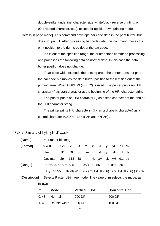double-strike, underline, character size, white/black reverse printing, or  $90\Box$  rotated character, etc.), except for upside-down printing mode.

[Details in page mode] This command develops bar code data in the print buffer, but does not print it. After processing bar code data, this command moves the print position to the right side dot of the bar code.

> If d is out of the specified range, the printer stops command processing and processes the following data as normal data. In this case the data buffer position does not change.

> If bar code width exceeds the printing area, the printer does not print the bar code but moves the data buffer position to the left side out of the printing area. When CODE93 ( $m = 72$ ) is used: The printer prints an HRI character ( ) as start character at the beginning of the HRI character string.

> The printer prints an HRI character ( ) as a stop character at the end of the HRI character string.

The printer prints HRI characters  $( \Box +$  an alphabetic character) as a control character (<00>H to <1F>H and <7F>H)。

## GS v 0 m xL xH yL yH d1....dk

follows:

| [Name]   | Print raster bit image               |  |  |  |  |                                                                                                  |  |
|----------|--------------------------------------|--|--|--|--|--------------------------------------------------------------------------------------------------|--|
| [Format] | ASCII                                |  |  |  |  | GS v 0 m xL xH yL yH d1dk                                                                        |  |
|          | Hex                                  |  |  |  |  | 1D 76 30 m xL xH yL yH d1dk                                                                      |  |
|          | Decimal 29 118 48 m xL xH yL yH d1dk |  |  |  |  |                                                                                                  |  |
| [Range]  | 0≤m≤3,48≤m ≤51 0≤xL≤255 0≤xH≤255     |  |  |  |  |                                                                                                  |  |
|          |                                      |  |  |  |  | $0 \le yL \le 255$ $0 \le d \le 255$ k = (xL+xH $\times$ 256) $\times$ (yL+yH $\times$ 256)(k>0) |  |
|          |                                      |  |  |  |  |                                                                                                  |  |

[Description] Selects Raster bit-image mode. The value of m selects the mode, as

| m     | <b>Mode</b>  | <b>Vertical Dot</b> | <b>Horizontal Dot</b> |
|-------|--------------|---------------------|-----------------------|
| 0, 48 | Normal       | 200 DPI             | 200 DPI               |
| 1.49  | Double-width | 200 DPI             | 100 DPI               |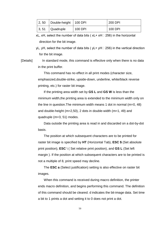| 2, 50 | Double-height   100 DPI |         | 200 DPI |
|-------|-------------------------|---------|---------|
| 3, 51 | Quadruple               | 100 DPI | 100 DPI |

xL, xH, select the number of data bits ( $xL+ xH \square 256$ ) in the horizontal direction for the bit image.

yL, yH, select the number of data bits ( $yL+ yH \square 256$ ) in the vertical direction for the bit image.

[Details] In standard mode, this command is effective only when there is no data in the print buffer.

> This command has no effect in all print modes (character size, emphasized,double-strike, upside-down, underline, white/black reverse printing, etc.) for raster bit image.

If the printing area width set by **GS L** and **GS W** is less than the minimum width,the printing area is extended to the minimum width only on the line in question.The minimum width means 1 dot in normal (m=0, 48) and double-height (m=2,50), 2 dots in double-width (m=1, 49) and quadruple (m=3, 51) modes.

Data outside the printing area is read in and discarded on a dot-by-dot basis.

The position at which subsequent characters are to be printed for raster bit image is specified by **HT** (Horizontal Tab), **ESC \$** (Set absolute print position), **ESC** \ ( Set relative print position), and **GS L** (Set left margin ). If the position at which subsequent characters are to be printed is not a multiple of 8, print speed may decline.

The **ESC a** (Select justification) setting is also effective on raster bit images.

When this command is received during macro definition, the printer ends macro definition, and begins performing this command. The definition of this command should be cleared. d indicates the bit-image data. Set time a bit to 1 prints a dot and setting it to 0 does not print a dot.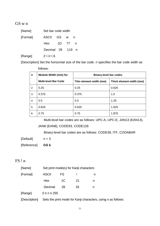#### GS w n

| [Name]   | Set bar code width |     |      |   |
|----------|--------------------|-----|------|---|
| [Format] | ASCII GS           |     | W    | n |
|          | Hex                | 1D. | - 77 | n |
|          | Decimal 29         |     | 119  | n |
| [Range]  | 2≤n≤6              |     |      |   |

[Description] Set the horizontal size of the bar code. n specifies the bar code width as follows:

| n              | <b>Module Width (mm) for</b> | <b>Binary-level bar codes</b> |                          |  |
|----------------|------------------------------|-------------------------------|--------------------------|--|
|                | <b>Multi-level Bar Code</b>  | Thin element width (mm)       | Thick element width (mm) |  |
| 2              | 0.25                         | 0.25                          | 0.625                    |  |
| 3              | 0.375                        | 0.375                         | 1.0                      |  |
| $\overline{4}$ | 0.5                          | 0.5                           | 1.25                     |  |
| 5              | 0.625                        | 0.625                         | 1.625                    |  |
| 6              | 0.75                         | 0.75                          | 1.875                    |  |

Multi-level bar codes are as follows: UPC-A, UPC-E, JAN13 (EAN13),

JAN8 (EAN8), CODE93, CODE128

Binary-level bar codes are as follows: CODE39, ITF, CODABAR

 $[Default]$   $n = 3$ 

[Reference] **GS k**

## FS ! n

| [Name]   |                   | Set print mode(s) for Kanji characters |    |   |  |  |
|----------|-------------------|----------------------------------------|----|---|--|--|
| [Format] | <b>ASCII</b>      | FS                                     |    | n |  |  |
|          | <b>Hex</b>        | 1C                                     | 21 | n |  |  |
|          | Decimal           | 28                                     | 33 | n |  |  |
| [Range]  | $0 \le n \le 255$ |                                        |    |   |  |  |
|          |                   |                                        |    |   |  |  |

[Description] Sets the print mode for Kanji characters, using n as follows: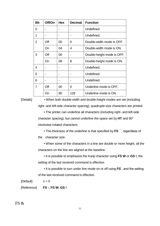| <b>Bit</b> | Off/On | <b>Hex</b> | <b>Decimal</b> | <b>Function</b>            |
|------------|--------|------------|----------------|----------------------------|
| 0          |        |            |                | Undefined.                 |
| 1          |        |            |                | Undefined.                 |
| 2          | Off    | 00         | 0              | Double-width mode is OFF.  |
|            | On     | 04         | 4              | Double-width mode is ON.   |
| 3          | Off    | 00         |                | Double-height mode is OFF. |
|            | On     | 08         | 8              | Double-height mode is ON.  |
| 4          |        |            |                | Undefined.                 |
| 5          |        |            |                | Undefined.                 |
| 6          |        |            |                | Undefined.                 |
| 7          | Off    | 00         | 0              | Underline mode is OFF.     |
|            | On     | 80         | 128            | Underline mode is ON.      |

[Details] • When both double-width and double-height modes are set (including right- and left-side character spacing), quadruple-size characters are printed.

> • The printer can underline all characters (including right- and left-side character spacing), but cannot underline the space set by **HT** and 90° clockwise-rotated characters.

• The thickness of the underline is that specified by FS  $\tilde{ }$ , regardless of the character size.

• When some of the characters in a line are double or more height, all the characters on the line are aligned at the baseline.

• It is possible to emphasize the Kanji character using **FS W** or **GS !**, the setting of the last received command is effective.

• It is possible to turn under line mode on or off using **FS** , and the setting of the last received command is effective.

 $[Default]$   $n = 0$ 

[Reference] **FS -**, **FS W**, **GS !**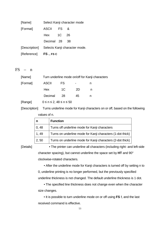| [Name]               |            |           | Select Kanji character mode                 |
|----------------------|------------|-----------|---------------------------------------------|
| [Format]             | ASCII      | <b>FS</b> | &                                           |
|                      | Hex 1C     |           | -26                                         |
|                      | Decimal 28 |           | 38                                          |
|                      |            |           | [Description] Selects Kanji character mode. |
| [Reference] FS., FSC |            |           |                                             |

 $FS - n$ 

| [Name]   | Turn underline mode on/off for Kanji characters |     |    |   |  |
|----------|-------------------------------------------------|-----|----|---|--|
| [Format] | <b>ASCII</b>                                    | FS. | ۰  | n |  |
|          | Hex                                             | 1C  | 2D | n |  |
|          | Decimal                                         | 28  | 45 | n |  |
| [Range]  | $0 \le n \le 2$ , $48 \le n \le 50$             |     |    |   |  |

[Description] Turns underline mode for Kanji characters on or off, based on the following values of n.

| n     | <b>Function</b>                                            |
|-------|------------------------------------------------------------|
| 0, 48 | Turns off underline mode for Kanji characters              |
| 1, 49 | Turns on underline mode for Kanji characters (1-dot thick) |
| 2, 50 | Turns on underline mode for Kanji characters (2-dot thick) |

[Details] • The printer can underline all characters (including right- and left-side character spacing), but cannot underline the space set by **HT** and 90° clockwise-rotated characters.

> • After the underline mode for Kanji characters is turned off by setting n to 0, underline printing is no longer performed, but the previously specified underline thickness is not changed. The default underline thickness is 1 dot.

• The specified line thickness does not change even when the character size changes.

• It is possible to turn underline mode on or off using **FS !**, and the last received command is effective.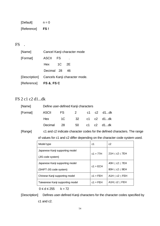| [Default]   | $n = 0$ |
|-------------|---------|
| [Reference] | FS!     |

# FS .

| [Name]                 | Cancel Kanji character mode |           |                                             |  |
|------------------------|-----------------------------|-----------|---------------------------------------------|--|
| [Format]               | <b>ASCII</b>                | <b>FS</b> |                                             |  |
|                        | Hex 1C 2E                   |           |                                             |  |
|                        | Decimal 28                  |           | 46.                                         |  |
|                        |                             |           | [Description] Cancels Kanji character mode. |  |
| [Reference] FS &, FS C |                             |           |                                             |  |

## FS 2 c1 c2 d1...dk

| [Name]   |                          | Define user-defined Kanji characters |  |  |  |  |
|----------|--------------------------|--------------------------------------|--|--|--|--|
| [Format] | ASCII FS 2 c1 c2 d1dk    |                                      |  |  |  |  |
|          | Hex 1C 32 c1 c2 d1dk     |                                      |  |  |  |  |
|          | Decimal 28 50 c1 c2 d1dk |                                      |  |  |  |  |

[Range] c1 and c2 indicate character codes for the defined characters. The range of values for c1 and c2 differ depending on the character code system used.

| Model type                       | c1         | c2                 |  |
|----------------------------------|------------|--------------------|--|
| Japanese Kanji supporting model  | $c1 = 77H$ | 21H < c2 < 7EH     |  |
| (JIS code system)                |            |                    |  |
| Japanese Kanji supporting model  | $c1 = ECH$ | 40H < c2 < 7EH     |  |
| (SHIFT-JIS code system)          |            | 80H < c2 < 9EH     |  |
| Chinese Kanji supporting model   | $c1 = FEH$ | A1H < c2 < FEH     |  |
| Taiwanese Kanji supporting model | $c1 = FEH$ | A1H $<$ c2 $<$ FEH |  |

 $0 \le d \le 255$  k = 72

[Description] Defines user-defined Kanji characters for the character codes specified by c1 and c2.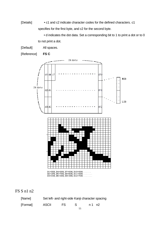[Details] • c1 and c2 indicate character codes for the defined characters. c1 specifies for the first byte, and c2 for the second byte.

> • d indicates the dot data. Set a corresponding bit to 1 to print a dot or to 0 to not print a dot.

[Default] All spaces.

[Reference] **FS C**



FS S n1 n2

| [Name]   | Set left- and right-side Kanji character spacing |    |   |         |  |
|----------|--------------------------------------------------|----|---|---------|--|
| [Format] | <b>ASCII</b>                                     | FS | S | n 1 n 2 |  |
|          |                                                  |    |   |         |  |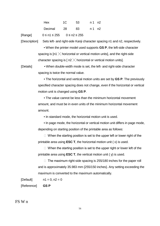| Hex        | 1C 53 |     | n 1 n 2 |  |
|------------|-------|-----|---------|--|
| Decimal 28 |       | -83 | n 1 n 2 |  |

[Range] 0 ≤ n1 ≤ 255 0 ≤ n2 ≤ 255

[Description] Sets left- and right-side Kanji character spacing n1 and n2, respectively.

• When the printer model used supports **GS P**, the left-side character spacing is  $In1 \times$  horizontal or vertical motion units], and the right-side character spacing is  $\lceil n/2 \times \rceil$  horizontal or vertical motion units].

[Details] • When double-width mode is set, the left- and right-side character spacing is twice the normal value.

> • The horizontal and vertical motion units are set by **GS P**. The previously specified character spacing does not change, even if the horizontal or vertical motion unit is changed using **GS P**.

• The value cannot be less than the minimum horizontal movement amount, and must be in even units of the minimum horizontal movement amount.

• In standard mode, the horizontal motion unit is used.

• In page mode, the horizontal or vertical motion unit differs in page mode, depending on starting position of the printable area as follows:

 $\Box$  When the starting position is set to the upper left or lower right of the printable area using **ESC T**, the horizontal motion unit ( x) is used.

 $\Box$  When the starting position is set to the upper right or lower left of the printable area using **ESC T**, the vertical motion unit ( y) is used.

 $\Box$  The maximum right-side spacing is 255/180 inches for the paper roll and is approximately 35.983 mm {255/150 inches}. Any setting exceeding the maximum is converted to the maximum automatically.

 $[Default]$   $n1 = 0, n2 = 0$ 

[Reference] **GS P**

FS W n

56